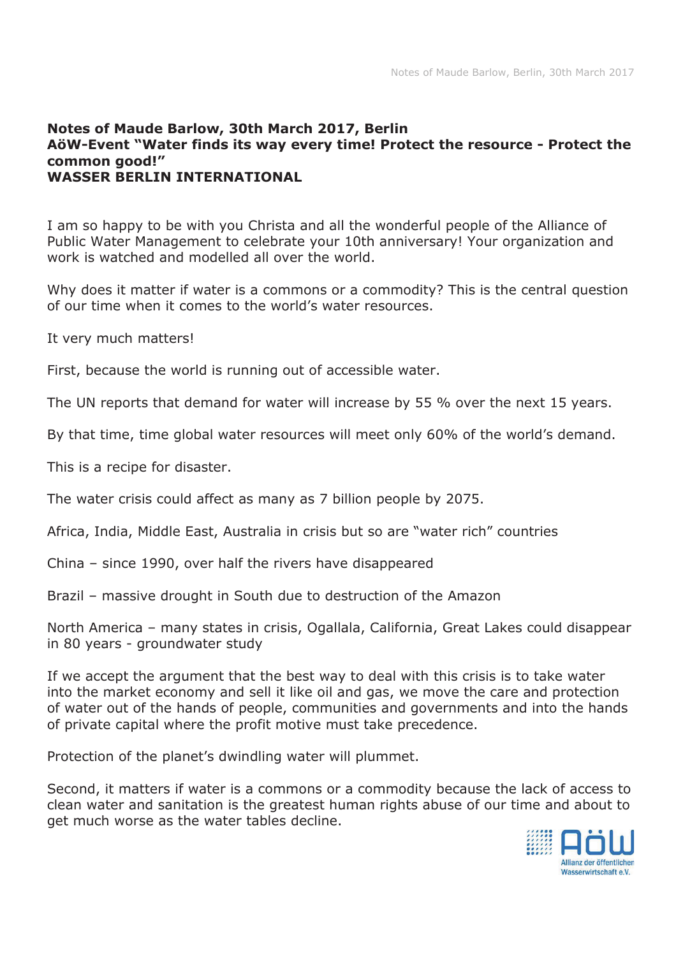## **Notes of Maude Barlow, 30th March 2017, Berlin AöW-Event "Water finds its way every time! Protect the resource - Protect the common good!" WASSER BERLIN INTERNATIONAL**

I am so happy to be with you Christa and all the wonderful people of the Alliance of Public Water Management to celebrate your 10th anniversary! Your organization and work is watched and modelled all over the world.

Why does it matter if water is a commons or a commodity? This is the central question of our time when it comes to the world's water resources.

It very much matters!

First, because the world is running out of accessible water.

The UN reports that demand for water will increase by 55 % over the next 15 years.

By that time, time global water resources will meet only 60% of the world's demand.

This is a recipe for disaster.

The water crisis could affect as many as 7 billion people by 2075.

Africa, India, Middle East, Australia in crisis but so are "water rich" countries

China – since 1990, over half the rivers have disappeared

Brazil – massive drought in South due to destruction of the Amazon

North America – many states in crisis, Ogallala, California, Great Lakes could disappear in 80 years - groundwater study

If we accept the argument that the best way to deal with this crisis is to take water into the market economy and sell it like oil and gas, we move the care and protection of water out of the hands of people, communities and governments and into the hands of private capital where the profit motive must take precedence.

Protection of the planet's dwindling water will plummet.

Second, it matters if water is a commons or a commodity because the lack of access to clean water and sanitation is the greatest human rights abuse of our time and about to get much worse as the water tables decline.

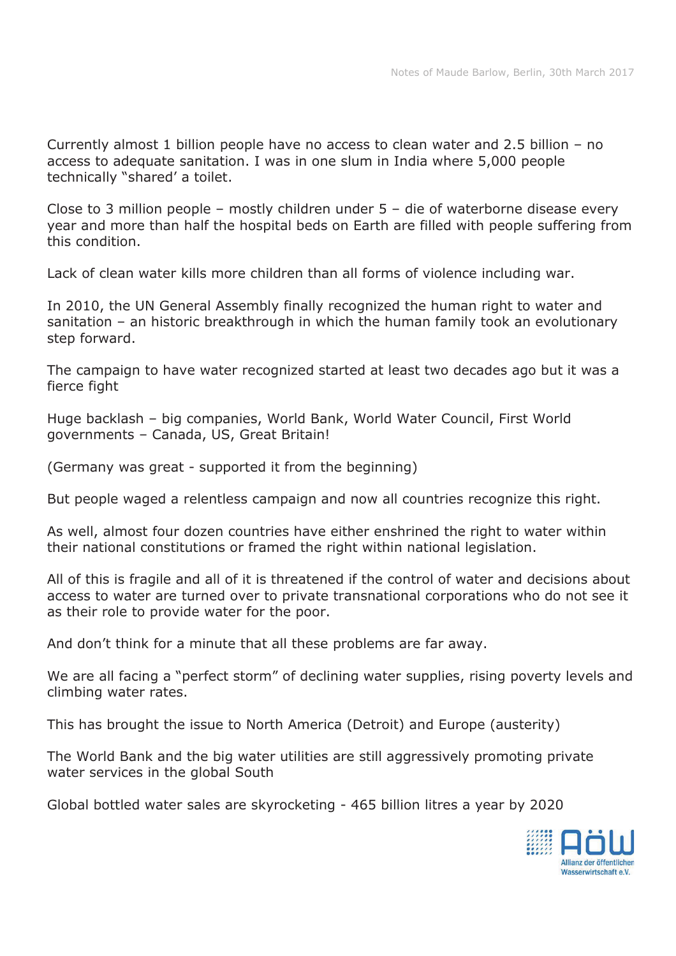Currently almost 1 billion people have no access to clean water and 2.5 billion – no access to adequate sanitation. I was in one slum in India where 5,000 people technically "shared' a toilet.

Close to 3 million people – mostly children under 5 – die of waterborne disease every year and more than half the hospital beds on Earth are filled with people suffering from this condition.

Lack of clean water kills more children than all forms of violence including war.

In 2010, the UN General Assembly finally recognized the human right to water and sanitation – an historic breakthrough in which the human family took an evolutionary step forward.

The campaign to have water recognized started at least two decades ago but it was a fierce fight

Huge backlash – big companies, World Bank, World Water Council, First World governments – Canada, US, Great Britain!

(Germany was great - supported it from the beginning)

But people waged a relentless campaign and now all countries recognize this right.

As well, almost four dozen countries have either enshrined the right to water within their national constitutions or framed the right within national legislation.

All of this is fragile and all of it is threatened if the control of water and decisions about access to water are turned over to private transnational corporations who do not see it as their role to provide water for the poor.

And don't think for a minute that all these problems are far away.

We are all facing a "perfect storm" of declining water supplies, rising poverty levels and climbing water rates.

This has brought the issue to North America (Detroit) and Europe (austerity)

The World Bank and the big water utilities are still aggressively promoting private water services in the global South

Global bottled water sales are skyrocketing - 465 billion litres a year by 2020

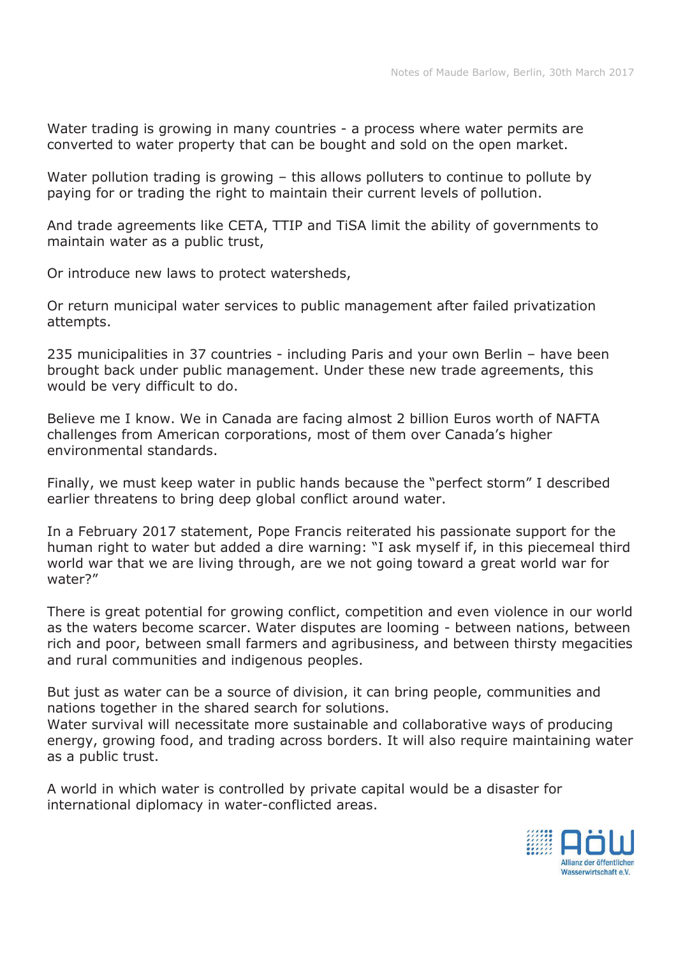Water trading is growing in many countries - a process where water permits are converted to water property that can be bought and sold on the open market.

Water pollution trading is growing – this allows polluters to continue to pollute by paying for or trading the right to maintain their current levels of pollution.

And trade agreements like CETA, TTIP and TiSA limit the ability of governments to maintain water as a public trust,

Or introduce new laws to protect watersheds,

Or return municipal water services to public management after failed privatization attempts.

235 municipalities in 37 countries - including Paris and your own Berlin – have been brought back under public management. Under these new trade agreements, this would be very difficult to do.

Believe me I know. We in Canada are facing almost 2 billion Euros worth of NAFTA challenges from American corporations, most of them over Canada's higher environmental standards.

Finally, we must keep water in public hands because the "perfect storm" I described earlier threatens to bring deep global conflict around water.

In a February 2017 statement, Pope Francis reiterated his passionate support for the human right to water but added a dire warning: "I ask myself if, in this piecemeal third world war that we are living through, are we not going toward a great world war for water?"

There is great potential for growing conflict, competition and even violence in our world as the waters become scarcer. Water disputes are looming - between nations, between rich and poor, between small farmers and agribusiness, and between thirsty megacities and rural communities and indigenous peoples.

But just as water can be a source of division, it can bring people, communities and nations together in the shared search for solutions. Water survival will necessitate more sustainable and collaborative ways of producing energy, growing food, and trading across borders. It will also require maintaining water as a public trust.

A world in which water is controlled by private capital would be a disaster for international diplomacy in water-conflicted areas.